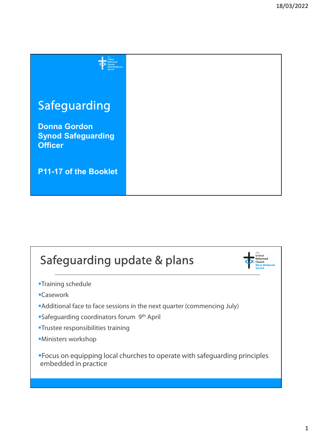

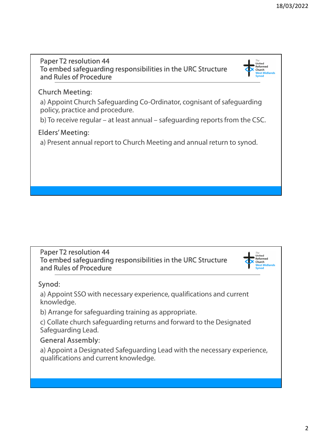### Paper T2 resolution 44 To embed safeguarding responsibilities in the URC Structure and Rules of Procedure Paper T2 resolution 44<br>
To embed safeguarding responsibilities in the URC Structure<br>
and Rules of Procedure<br>
Church Meeting:<br>
a) Appoint Church Safeguarding Co-Ordinator, cognisant of safeguarding<br>
policy, practice and pro

### Church Meeting:

a) Appoint Church Safeguarding Co-Ordinator, cognisant of safeguarding policy, practice and procedure.

### Elders' Meeting:

a) Present annual report to Church Meeting and annual return to synod.

#### Paper T2 resolution 44 To embed safeguarding responsibilities in the URC Structure and Rules of Procedure



#### Synod:

a) Appoint SSO with necessary experience, qualifications and current knowledge.

b) Arrange for safeguarding training as appropriate.

c) Collate church safeguarding returns and forward to the Designated Safeguarding Lead.

#### General Assembly:

a) Appoint a Designated Safeguarding Lead with the necessary experience, qualifications and current knowledge.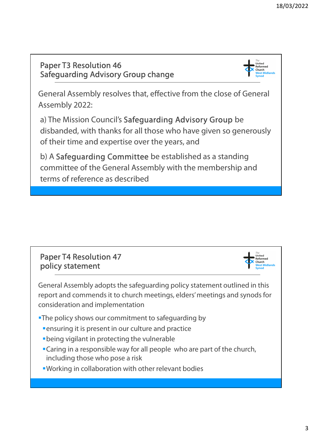### Paper T3 Resolution 46 Safeguarding Advisory Group change



General Assembly resolves that, effective from the close of General Assembly 2022:

a) The Mission Council's Safeguarding Advisory Group be disbanded, with thanks for all those who have given so generously of their time and expertise over the years, and

b) A Safeguarding Committee be established as a standing committee of the General Assembly with the membership and terms of reference as described





General Assembly adopts the safeguarding policy statement outlined in this report and commends it to church meetings, elders' meetings and synods for consideration and implementation

**-The policy shows our commitment to safeguarding by** 

- **Example 1** Fensuring it is present in our culture and practice
- being vigilant in protecting the vulnerable
- Caring in a responsible way for all people who are part of the church, including those who pose a risk
- Working in collaboration with other relevant bodies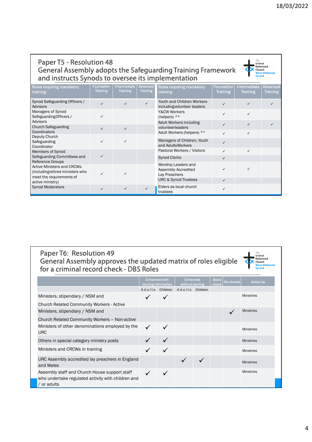# Paper T5 - Resolution 48<br>General Assembly adopts the Safegua<br>and instructs Synods to oversee its im General Assembly adopts the Safeguarding Training Framework  $\bullet$ and instructs Synods to oversee its implementation

|                                                                                                                                                                         |                               |                                       |                               |                                                                                                                       |                                      |                                         | 18/03/2022                       |
|-------------------------------------------------------------------------------------------------------------------------------------------------------------------------|-------------------------------|---------------------------------------|-------------------------------|-----------------------------------------------------------------------------------------------------------------------|--------------------------------------|-----------------------------------------|----------------------------------|
| <b>Paper T5 - Resolution 48</b><br>and instructs Synods to oversee its implementation                                                                                   |                               |                                       |                               | General Assembly adopts the Safeguarding Training Framework                                                           |                                      | The<br>United<br>Church<br><b>Synod</b> | Reformed<br><b>West Midlands</b> |
|                                                                                                                                                                         |                               |                                       |                               |                                                                                                                       |                                      |                                         |                                  |
|                                                                                                                                                                         | Foundation<br><b>Training</b> | <b>ntermediate</b><br><b>Training</b> | Advanced  <br><b>Training</b> | Roles requiring mandatory<br>training:                                                                                | <b>Foundation</b><br><b>Training</b> | Intermediate<br><b>Training</b>         | Advanced<br><b>Training</b>      |
|                                                                                                                                                                         | $\checkmark$                  | $\checkmark$                          | $\checkmark$                  | Youth and Children Workers<br>includingvolunteer leaders                                                              | $\checkmark$                         | $\checkmark$                            | $\checkmark$                     |
|                                                                                                                                                                         | $\checkmark$                  |                                       |                               | Y&CW Workers<br>(helpers) **                                                                                          | $\checkmark$                         | $\checkmark$                            |                                  |
| Advisors<br>Managers of Synod<br>Safeguarding Officers /<br>Advisors<br><b>Church Safeguarding</b><br>Coordinators                                                      | $\checkmark$                  | $\checkmark$                          |                               | Adult Workers including<br>volunteerleaders<br>Adult Workers (helpers) **                                             | $\checkmark$<br>$\checkmark$         | $\checkmark$<br>$\checkmark$            | $\checkmark$                     |
| <b>Roles requiring mandatory</b><br>training:<br>Synod Safeguarding Officers /<br>Deputy Church<br>Safeguarding                                                         |                               | ✓                                     |                               | Managers of Children, Youth                                                                                           | $\checkmark$                         |                                         |                                  |
| Coordinator<br>Members of Synod                                                                                                                                         | $\checkmark$                  |                                       |                               | and AdultsWorkers<br>Pastoral Workers / Visitors                                                                      | $\checkmark$                         | $\checkmark$                            |                                  |
| Safeguarding Committees and<br>Reference Groups<br><b>Active Ministers and CRCWs</b><br>(includingretired ministers who<br>meet the requirements of<br>active ministry) |                               |                                       |                               | <b>Synod Clerks</b><br>Worship Leaders and<br>Assembly-Accredited<br>Lay Preachers<br><b>URC &amp; Synod Trustees</b> | $\checkmark$<br>✓<br>✓               |                                         |                                  |

# Paper T6: Resolution 49 General Assembly approves the updated matrix of roles eligible  $\overline{\Phi}$ Paper T6: Resolution 49<br>General Assembly approves the updated matrix of roles<br>for a criminal record check - DBS Roles<br>Enhanced with Enhanced with Enhanced with Enhanced Matrice Internation

| ilive ivililisters driu UNUVIS<br>cludingretired ministers who<br>eet the requirements of<br>tive ministry)        | $\checkmark$ |              |              | Lay Preachers                                      | Assembly-Accredited<br><b>URC &amp; Synod Trustees</b> |   |              | $\checkmark$<br>$\checkmark$ |                                     |                      |
|--------------------------------------------------------------------------------------------------------------------|--------------|--------------|--------------|----------------------------------------------------|--------------------------------------------------------|---|--------------|------------------------------|-------------------------------------|----------------------|
| nod Moderators                                                                                                     | $\checkmark$ | $\checkmark$ | $\checkmark$ | trustees                                           | Elders as local church                                 |   |              | $\checkmark$                 |                                     |                      |
| Paper T6: Resolution 49<br>General Assembly approves the updated matrix of roles eligible                          |              |              |              |                                                    |                                                        |   |              |                              | The<br>United<br>Reformed<br>Church | <b>West Midlands</b> |
| for a criminal record check - DBS Roles                                                                            |              |              |              |                                                    |                                                        |   |              |                              | <b>Synod</b>                        |                      |
|                                                                                                                    |              |              |              | <b>Enhanced with</b><br><b>barring information</b> | <b>Enhanced</b><br>without barring                     |   | <b>Basic</b> | No checks                    | <b>Action by</b>                    |                      |
|                                                                                                                    |              |              |              | Adults Children                                    | Adults Children                                        |   |              |                              |                                     |                      |
| Ministers, stipendiary / NSM and                                                                                   |              |              |              |                                                    |                                                        |   |              |                              | Ministries                          |                      |
| Church Related Community Workers - Active                                                                          |              |              |              |                                                    |                                                        |   |              |                              |                                     |                      |
| Ministers, stipendiary / NSM and                                                                                   |              |              |              |                                                    |                                                        |   |              |                              | Ministries                          |                      |
| Church Related Community Workers - Non-active                                                                      |              |              |              |                                                    |                                                        |   |              |                              |                                     |                      |
| Ministers of other denominations employed by the<br><b>URC</b>                                                     |              |              | $\checkmark$ | ✓                                                  |                                                        |   |              |                              | <b>Ministries</b>                   |                      |
| Others in special category ministry posts                                                                          |              |              |              | ✓                                                  |                                                        |   |              |                              | <b>Ministries</b>                   |                      |
| Ministers and CRCWs in training                                                                                    |              |              |              |                                                    |                                                        |   |              |                              | <b>Ministries</b>                   |                      |
| URC Assembly accredited lay preachers in England<br>and Wales                                                      |              |              |              |                                                    | ✓                                                      | ✓ |              |                              | <b>Ministries</b>                   |                      |
| Assembly staff and Church House support staff<br>who undertake regulated activity with children and<br>/ or adults |              |              | ✓            | $\checkmark$                                       |                                                        |   |              |                              | <b>Ministries</b>                   |                      |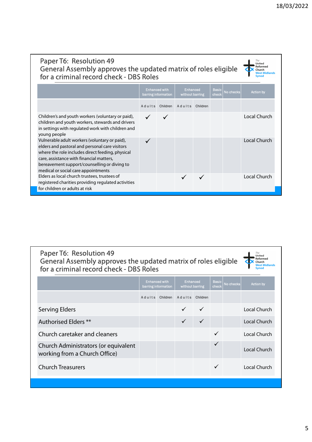# Paper T6: Resolution 49 General Assembly approves the updated matrix of roles eligible  $\overline{\Phi}$ Paper T6: Resolution 49<br>General Assembly approves the updated matrix of roles<br>for a criminal record check - DBS Roles<br>Enhanced with Enhanced With Enhanced With Enhanced Method barring information

|                                                                                                                                                                                                                                                                                                                                                                                                                                                                      |        |                                             |                 |          |                       |           |                                      | 18/03/2022 |
|----------------------------------------------------------------------------------------------------------------------------------------------------------------------------------------------------------------------------------------------------------------------------------------------------------------------------------------------------------------------------------------------------------------------------------------------------------------------|--------|---------------------------------------------|-----------------|----------|-----------------------|-----------|--------------------------------------|------------|
|                                                                                                                                                                                                                                                                                                                                                                                                                                                                      |        |                                             |                 |          |                       |           |                                      |            |
|                                                                                                                                                                                                                                                                                                                                                                                                                                                                      |        |                                             |                 |          |                       |           |                                      |            |
|                                                                                                                                                                                                                                                                                                                                                                                                                                                                      |        |                                             |                 |          |                       |           |                                      |            |
| Paper T6: Resolution 49<br>General Assembly approves the updated matrix of roles eligible                                                                                                                                                                                                                                                                                                                                                                            |        |                                             |                 |          |                       |           | The<br>United<br>Reformed<br>Church  |            |
| for a criminal record check - DBS Roles                                                                                                                                                                                                                                                                                                                                                                                                                              |        |                                             |                 |          |                       |           | <b>West Midlands</b><br><b>Synod</b> |            |
|                                                                                                                                                                                                                                                                                                                                                                                                                                                                      |        |                                             |                 |          |                       |           |                                      |            |
|                                                                                                                                                                                                                                                                                                                                                                                                                                                                      |        | <b>Enhanced with</b><br>barring information | without barring | Enhanced | <b>Basic</b><br>check | No checks | <b>Action by</b>                     |            |
|                                                                                                                                                                                                                                                                                                                                                                                                                                                                      | Adults | Children                                    | Adults Children |          |                       |           |                                      |            |
|                                                                                                                                                                                                                                                                                                                                                                                                                                                                      |        |                                             |                 |          |                       |           | <b>Local Church</b>                  |            |
| Children's and youth workers (voluntary or paid),<br>children and youth workers, stewards and drivers<br>in settings with regulated work with children and<br>young people<br>Vulnerable adult workers (voluntary or paid),<br>elders and pastoral and personal care visitors<br>where the role includes direct feeding, physical<br>care, assistance with financial matters,<br>bereavement support/counselling or diving to<br>medical or social care appointments | ✓      |                                             |                 |          |                       |           | Local Church                         |            |

# Paper T6: Resolution 49 General Assembly approves the updated matrix of roles eligible  $\overline{\Phi}$ Paper T6: Resolution 49<br>General Assembly approves the updated matrix of roles<br>for a criminal record check - DBS Roles<br>Enhanced with Enhanced With Enhanced With

| Elders as local church trustees, trustees of<br>registered charities providing regulated activities<br>for children or adults at risk |                                             |                                 |                 |                       |           | Local Church                                                                |
|---------------------------------------------------------------------------------------------------------------------------------------|---------------------------------------------|---------------------------------|-----------------|-----------------------|-----------|-----------------------------------------------------------------------------|
|                                                                                                                                       |                                             |                                 |                 |                       |           |                                                                             |
|                                                                                                                                       |                                             |                                 |                 |                       |           |                                                                             |
| Paper T6: Resolution 49<br>General Assembly approves the updated matrix of roles eligible<br>for a criminal record check - DBS Roles  |                                             |                                 |                 |                       |           | The<br>United<br>Reformed<br>Church<br><b>West Midlands</b><br><b>Synod</b> |
|                                                                                                                                       | <b>Enhanced with</b><br>barring information | <b>Enhanced</b>                 | without barring | <b>Basic</b><br>check | No checks | <b>Action by</b>                                                            |
|                                                                                                                                       |                                             | Adults Children Adults Children |                 |                       |           |                                                                             |
| <b>Serving Elders</b>                                                                                                                 |                                             |                                 | ✓               |                       |           | <b>Local Church</b>                                                         |
| Authorised Elders **                                                                                                                  |                                             | $\checkmark$                    | $\checkmark$    |                       |           | Local Church                                                                |
| Church caretaker and cleaners                                                                                                         |                                             |                                 |                 | ✓                     |           | Local Church                                                                |
| Church Administrators (or equivalent<br>working from a Church Office)                                                                 |                                             |                                 |                 | ✓                     |           | Local Church                                                                |
| <b>Church Treasurers</b>                                                                                                              |                                             |                                 |                 | $\checkmark$          |           | Local Church                                                                |
|                                                                                                                                       |                                             |                                 |                 |                       |           |                                                                             |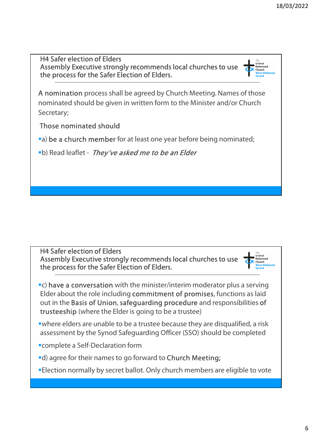H4 Safer election of Elders Assembly Executive strongly recommends local churches to use the process for the Safer Election of Elders.

A nomination process shall be agreed by Church Meeting. Names of those nominated should be given in written form to the Minister and/or Church Secretary;

Those nominated should

a) be a church member for at least one year before being nominated;

**•b**) Read leaflet - They've asked me to be an Elder

H4 Safer election of Elders Assembly Executive strongly recommends local churches to use the process for the Safer Election of Elders.

**•C) have a conversation** with the minister/interim moderator plus a serving Elder about the role including commitment of promises, functions as laid out in the Basis of Union, safeguarding procedure and responsibilities of trusteeship (where the Elder is going to be a trustee)

where elders are unable to be a trustee because they are disqualified, a risk assessment by the Synod Safeguarding Officer (SSO) should be completed

- complete a Self-Declaration form
- d) agree for their names to go forward to Church Meeting;

Election normally by secret ballot. Only church members are eligible to vote